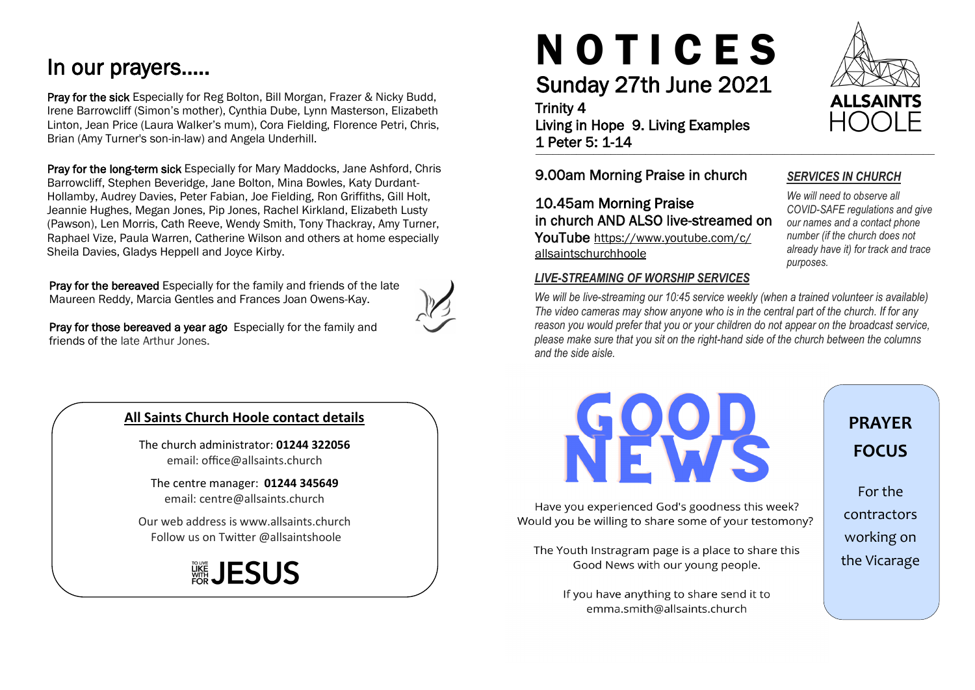## In our prayers…..

Pray for the sick Especially for Reg Bolton, Bill Morgan, Frazer & Nicky Budd, Irene Barrowcliff (Simon's mother), Cynthia Dube, Lynn Masterson, Elizabeth Linton, Jean Price (Laura Walker's mum), Cora Fielding, Florence Petri, Chris, Brian (Amy Turner's son-in-law) and Angela Underhill.

Pray for the long-term sick Especially for Mary Maddocks, Jane Ashford, Chris Barrowcliff, Stephen Beveridge, Jane Bolton, Mina Bowles, Katy Durdant-Hollamby, Audrey Davies, Peter Fabian, Joe Fielding, Ron Griffiths, Gill Holt, Jeannie Hughes, Megan Jones, Pip Jones, Rachel Kirkland, Elizabeth Lusty (Pawson), Len Morris, Cath Reeve, Wendy Smith, Tony Thackray, Amy Turner, Raphael Vize, Paula Warren, Catherine Wilson and others at home especially Sheila Davies, Gladys Heppell and Joyce Kirby.

Pray for the bereaved Especially for the family and friends of the late Maureen Reddy, Marcia Gentles and Frances Joan Owens-Kay.



Pray for those bereaved a year ago Especially for the family and friends of the late Arthur Jones.

### **All Saints Church Hoole contact details**

The church administrator: **01244 322056** email: office@allsaints.church

The centre manager: **01244 345649** email: centre@allsaints.church

Our web address is www.allsaints.church Follow us on Twitter @allsaintshoole

## ▒JESUS

# N O T I C E S

## Sunday 27th June 2021

#### Trinity 4

\_\_\_\_\_\_\_\_\_\_\_\_\_\_\_\_\_\_\_\_\_\_\_\_\_\_\_\_\_\_\_\_\_\_\_\_\_\_\_\_\_\_\_\_\_\_\_\_\_\_\_\_\_\_\_\_\_\_\_\_\_\_\_\_\_\_\_\_\_ Living in Hope 9. Living Examples 1 Peter 5: 1-14

9.00am Morning Praise in church

10.45am Morning Praise in church AND ALSO live-streamed on YouTube https://www.youtube.com/c/ allsaintschurchhoole

#### *LIVE-STREAMING OF WORSHIP SERVICES*

*We will be live-streaming our 10:45 service weekly (when a trained volunteer is available) The video cameras may show anyone who is in the central part of the church. If for any reason you would prefer that you or your children do not appear on the broadcast service, please make sure that you sit on the right-hand side of the church between the columns and the side aisle.*



Have you experienced God's goodness this week? Would you be willing to share some of your testomony?

The Youth Instragram page is a place to share this Good News with our young people.

> If you have anything to share send it to emma.smith@allsaints.church

## **PRAYER FOCUS**

For the contractors working on the Vicarage



## *SERVICES IN CHURCH*

*We will need to observe all COVID-SAFE regulations and give our names and a contact phone number (if the church does not already have it) for track and trace purposes.*